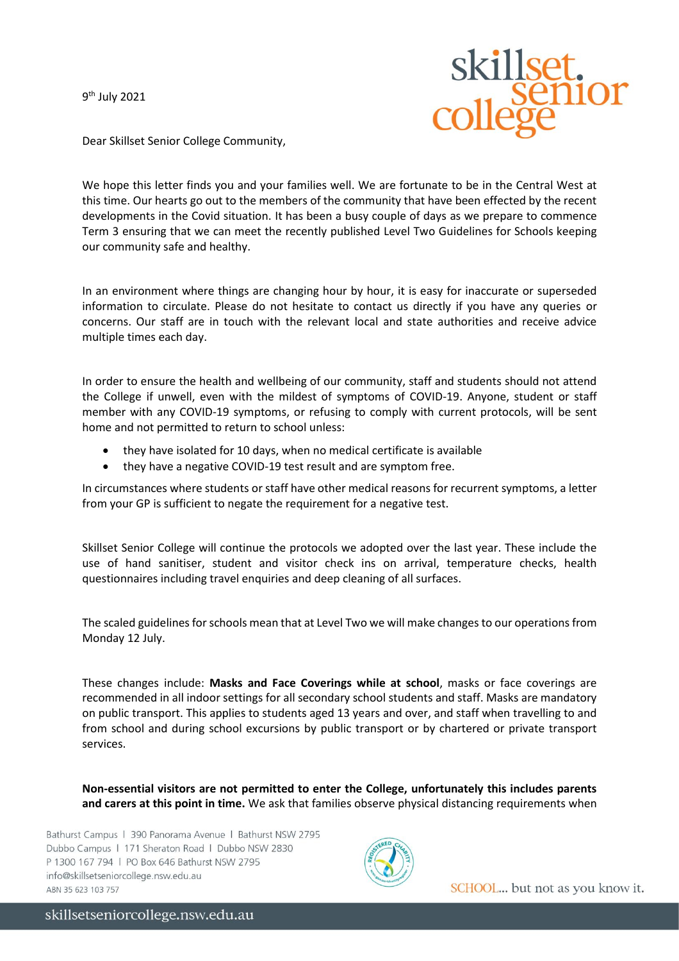9<sup>th</sup> July 2021



Dear Skillset Senior College Community,

We hope this letter finds you and your families well. We are fortunate to be in the Central West at this time. Our hearts go out to the members of the community that have been effected by the recent developments in the Covid situation. It has been a busy couple of days as we prepare to commence Term 3 ensuring that we can meet the recently published Level Two Guidelines for Schools keeping our community safe and healthy.

In an environment where things are changing hour by hour, it is easy for inaccurate or superseded information to circulate. Please do not hesitate to contact us directly if you have any queries or concerns. Our staff are in touch with the relevant local and state authorities and receive advice multiple times each day.

In order to ensure the health and wellbeing of our community, staff and students should not attend the College if unwell, even with the mildest of symptoms of COVID-19. Anyone, student or staff member with any COVID-19 symptoms, or refusing to comply with current protocols, will be sent home and not permitted to return to school unless:

- they have isolated for 10 days, when no medical certificate is available
- they have a negative COVID-19 test result and are symptom free.

In circumstances where students or staff have other medical reasons for recurrent symptoms, a letter from your GP is sufficient to negate the requirement for a negative test.

Skillset Senior College will continue the protocols we adopted over the last year. These include the use of hand sanitiser, student and visitor check ins on arrival, temperature checks, health questionnaires including travel enquiries and deep cleaning of all surfaces.

The scaled guidelines for schools mean that at Level Two we will make changes to our operations from Monday 12 July.

These changes include: **Masks and Face Coverings while at school**, masks or face coverings are recommended in all indoor settings for all secondary school students and staff. Masks are mandatory on public transport. This applies to students aged 13 years and over, and staff when travelling to and from school and during school excursions by public transport or by chartered or private transport services.

**Non-essential visitors are not permitted to enter the College, unfortunately this includes parents and carers at this point in time.** We ask that families observe physical distancing requirements when

Bathurst Campus | 390 Panorama Avenue | Bathurst NSW 2795 Dubbo Campus | 171 Sheraton Road | Dubbo NSW 2830 P 1300 167 794 | PO Box 646 Bathurst NSW 2795 info@skillsetseniorcollege.nsw.edu.au ABN 35 623 103 757